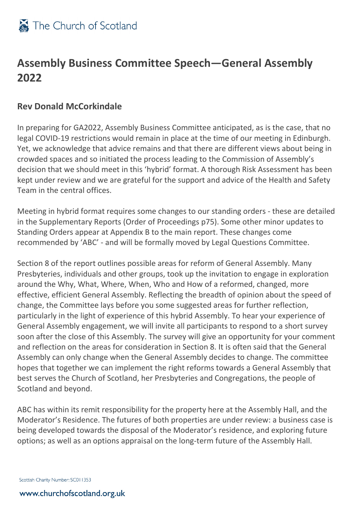

## **Assembly Business Committee Speech—General Assembly 2022**

## **Rev Donald McCorkindale**

In preparing for GA2022, Assembly Business Committee anticipated, as is the case, that no legal COVID-19 restrictions would remain in place at the time of our meeting in Edinburgh. Yet, we acknowledge that advice remains and that there are different views about being in crowded spaces and so initiated the process leading to the Commission of Assembly's decision that we should meet in this 'hybrid' format. A thorough Risk Assessment has been kept under review and we are grateful for the support and advice of the Health and Safety Team in the central offices.

Meeting in hybrid format requires some changes to our standing orders - these are detailed in the Supplementary Reports (Order of Proceedings p75). Some other minor updates to Standing Orders appear at Appendix B to the main report. These changes come recommended by 'ABC' - and will be formally moved by Legal Questions Committee.

Section 8 of the report outlines possible areas for reform of General Assembly. Many Presbyteries, individuals and other groups, took up the invitation to engage in exploration around the Why, What, Where, When, Who and How of a reformed, changed, more effective, efficient General Assembly. Reflecting the breadth of opinion about the speed of change, the Committee lays before you some suggested areas for further reflection, particularly in the light of experience of this hybrid Assembly. To hear your experience of General Assembly engagement, we will invite all participants to respond to a short survey soon after the close of this Assembly. The survey will give an opportunity for your comment and reflection on the areas for consideration in Section 8. It is often said that the General Assembly can only change when the General Assembly decides to change. The committee hopes that together we can implement the right reforms towards a General Assembly that best serves the Church of Scotland, her Presbyteries and Congregations, the people of Scotland and beyond.

ABC has within its remit responsibility for the property here at the Assembly Hall, and the Moderator's Residence. The futures of both properties are under review: a business case is being developed towards the disposal of the Moderator's residence, and exploring future options; as well as an options appraisal on the long-term future of the Assembly Hall.

Scottish Charity Number: SC011353